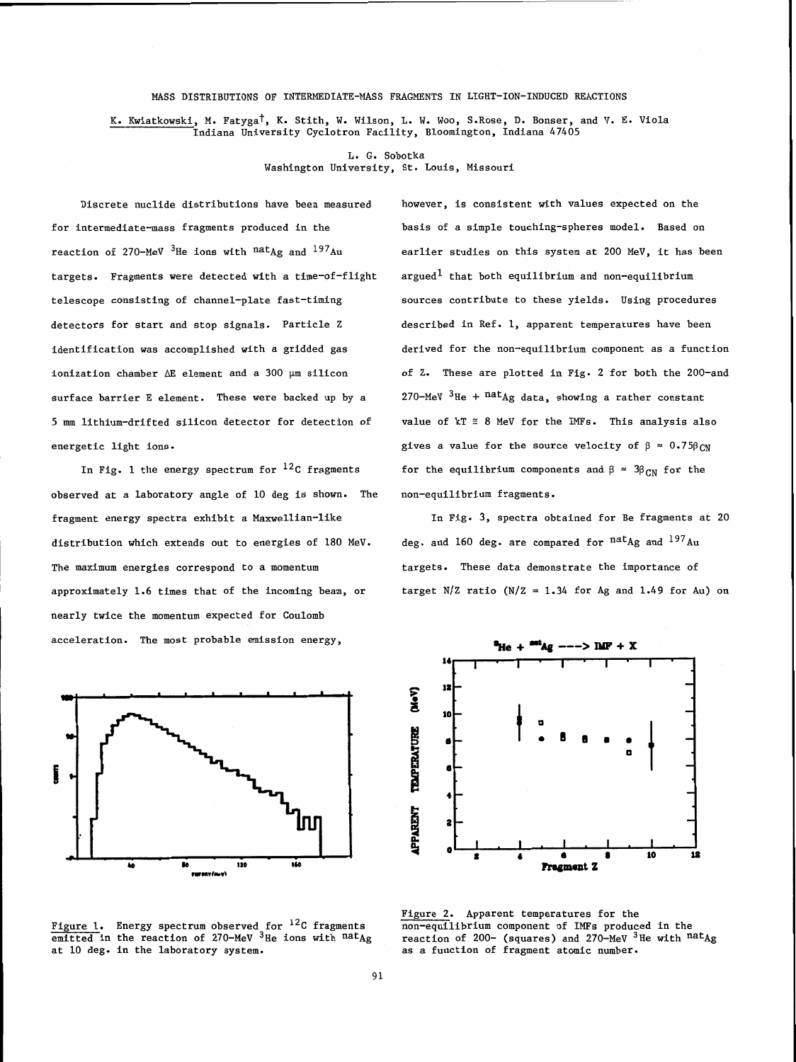## MASS DISTRIBUTIONS OF INTERMEDIATE-MASS FRAGMENTS IN LIGHT-ION-INDUCED REACTIONS

K. Kwiatkowski, M. Fatyga<sup>†</sup>, K. Stith, W. Wilson, L. W. Woo, S.Rose, D. Bonser, and V. E. Viola Indiana University Cyclotron Facility, Bloomington, Indiana 47405

> L. G. Sobotka Washington University, St. Louis, Missouri

Discrete nuclide distributions have been measured however, is consistent with values expected on the for intermediate-mass fragments produced in the basis of a simple touching-spheres model. Based on reaction of 270-MeV <sup>3</sup>He ions with  $natAg$  and <sup>197</sup>Au earlier studies on this system at 200 MeV, it has been targets. Fragments were detected with a time-of-flight argued<sup>1</sup> that both equilibrium and non-equilibrium telescope consisting of channel-plate fast-timing sources contribute to these yields. Using procedures detectors for start and stop signals. Particle Z described in Ref. 1, apparent temperatures have been surface barrier E element. These were backed up by a 270-MeV <sup>3</sup>He + nat<sub>Ag data, showing a rather constant</sub> 5 mm lithium-drifted silicon detector for detection of value of kT **r** 8 MeV for the IMFs. This analysis also

observed at a laboratory angle of 10 deg is shown. The non-equilibrium fragments. fragment energy spectra exhibit a Maxwellian-like In Fig. 3, spectra obtained for Be fragments at 20 distribution which extends out to energies of 180 MeV. deg. and 160 deg. are compared for natag and <sup>197</sup>Au The maximum energies correspond to a momentum targets. These data demonstrate the importance of approximately 1.6 times that of the incoming beam, or target N/Z ratio (N/Z = 1.34 for **Ag** and 1.49 for Au) on nearly twice the momentum expected for Coulomb acceleration. The most probable emission energy,



emitted in the reaction of 270-MeV <sup>3</sup>He ions with nat<sub>Ag</sub> reaction of 200- (squares) and 270-MeV <sup>3</sup>He with nat<sub>Ag</sub> at 10 deg. in the laboratory system.

identification was accomplished with a gridded gas derived for the non-equilibrium component as a function ionization chamber  $\Delta E$  element and a 300  $\mu$ m silicon of Z. These are plotted in Fig. 2 for both the 200-and energetic light ions.  $\qquad \qquad$  gives a value for the source velocity of  $\beta \approx 0.75\beta_{CN}$ In Fig. 1 the energy spectrum for <sup>12</sup>C fragments for the equilibrium components and  $\beta \approx 3\beta_{CN}$  for the



Figure 2. Apparent temperatures for the Figure 1. Energy spectrum observed for <sup>12</sup>C fragments non-equilibrium component of IMFs produced in the emitted in the reaction of 270-MeV <sup>3</sup>He vith <sup>nat</sup> and reaction of 200- (squares) and 270-MeV <sup>3</sup>He with <sup>nat</sup> as a function of fragment atomic number.